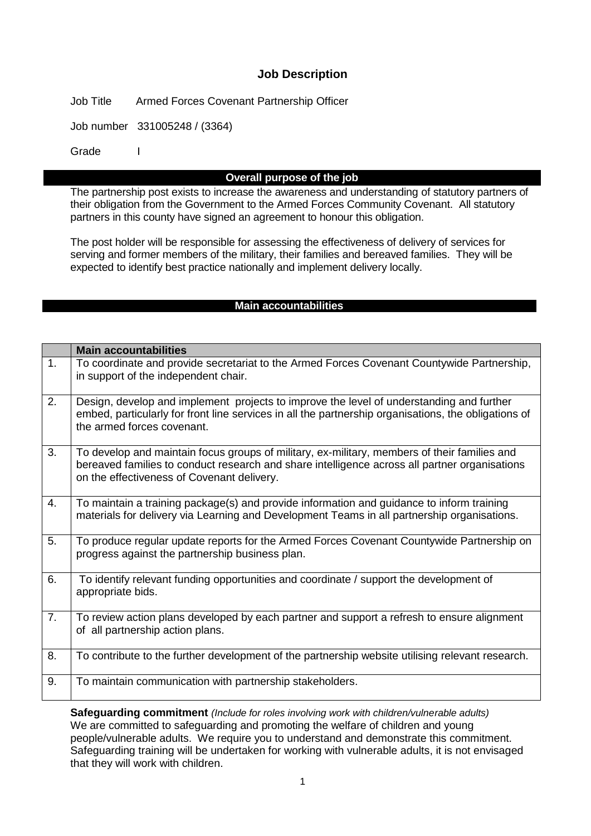# **Job Description**

Job Title Armed Forces Covenant Partnership Officer

Job number 331005248 / (3364)

Grade I

## **Overall purpose of the job**

The partnership post exists to increase the awareness and understanding of statutory partners of their obligation from the Government to the Armed Forces Community Covenant. All statutory partners in this county have signed an agreement to honour this obligation.

The post holder will be responsible for assessing the effectiveness of delivery of services for serving and former members of the military, their families and bereaved families. They will be expected to identify best practice nationally and implement delivery locally.

#### **Main accountabilities**

|                | <b>Main accountabilities</b>                                                                                                                                                                                                                |
|----------------|---------------------------------------------------------------------------------------------------------------------------------------------------------------------------------------------------------------------------------------------|
| $\mathbf{1}$ . | To coordinate and provide secretariat to the Armed Forces Covenant Countywide Partnership,<br>in support of the independent chair.                                                                                                          |
| 2.             | Design, develop and implement projects to improve the level of understanding and further<br>embed, particularly for front line services in all the partnership organisations, the obligations of<br>the armed forces covenant.              |
| 3.             | To develop and maintain focus groups of military, ex-military, members of their families and<br>bereaved families to conduct research and share intelligence across all partner organisations<br>on the effectiveness of Covenant delivery. |
| 4.             | To maintain a training package(s) and provide information and guidance to inform training<br>materials for delivery via Learning and Development Teams in all partnership organisations.                                                    |
| 5.             | To produce regular update reports for the Armed Forces Covenant Countywide Partnership on<br>progress against the partnership business plan.                                                                                                |
| 6.             | To identify relevant funding opportunities and coordinate / support the development of<br>appropriate bids.                                                                                                                                 |
| 7.             | To review action plans developed by each partner and support a refresh to ensure alignment<br>of all partnership action plans.                                                                                                              |
| 8.             | To contribute to the further development of the partnership website utilising relevant research.                                                                                                                                            |
| 9.             | To maintain communication with partnership stakeholders.                                                                                                                                                                                    |

**Safeguarding commitment** *(Include for roles involving work with children/vulnerable adults)* We are committed to safeguarding and promoting the welfare of children and young people/vulnerable adults. We require you to understand and demonstrate this commitment. Safeguarding training will be undertaken for working with vulnerable adults, it is not envisaged that they will work with children.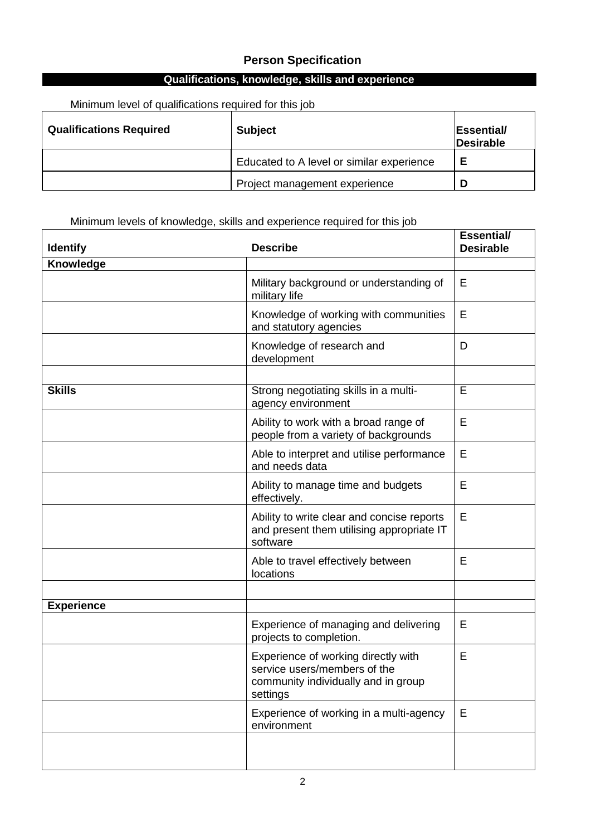# **Person Specification**

# **Qualifications, knowledge, skills and experience**

Minimum level of qualifications required for this job

| <b>Qualifications Required</b> | <b>Subject</b>                            | Essential/<br>Desirable |
|--------------------------------|-------------------------------------------|-------------------------|
|                                | Educated to A level or similar experience | Е                       |
|                                | Project management experience             |                         |

## Minimum levels of knowledge, skills and experience required for this job

| <b>Identify</b>   | <b>Describe</b>                                                                                                        | <b>Essential/</b><br><b>Desirable</b> |
|-------------------|------------------------------------------------------------------------------------------------------------------------|---------------------------------------|
| Knowledge         |                                                                                                                        |                                       |
|                   | Military background or understanding of<br>military life                                                               | Е                                     |
|                   | Knowledge of working with communities<br>and statutory agencies                                                        | E                                     |
|                   | Knowledge of research and<br>development                                                                               | D                                     |
|                   |                                                                                                                        |                                       |
| <b>Skills</b>     | Strong negotiating skills in a multi-<br>agency environment                                                            | E                                     |
|                   | Ability to work with a broad range of<br>people from a variety of backgrounds                                          | E                                     |
|                   | Able to interpret and utilise performance<br>and needs data                                                            | E                                     |
|                   | Ability to manage time and budgets<br>effectively.                                                                     | Е                                     |
|                   | Ability to write clear and concise reports<br>and present them utilising appropriate IT<br>software                    | E                                     |
|                   | Able to travel effectively between<br>locations                                                                        | Е                                     |
|                   |                                                                                                                        |                                       |
| <b>Experience</b> |                                                                                                                        |                                       |
|                   | Experience of managing and delivering<br>projects to completion.                                                       | E                                     |
|                   | Experience of working directly with<br>service users/members of the<br>community individually and in group<br>settings | E                                     |
|                   | Experience of working in a multi-agency<br>environment                                                                 | $\mathsf E$                           |
|                   |                                                                                                                        |                                       |